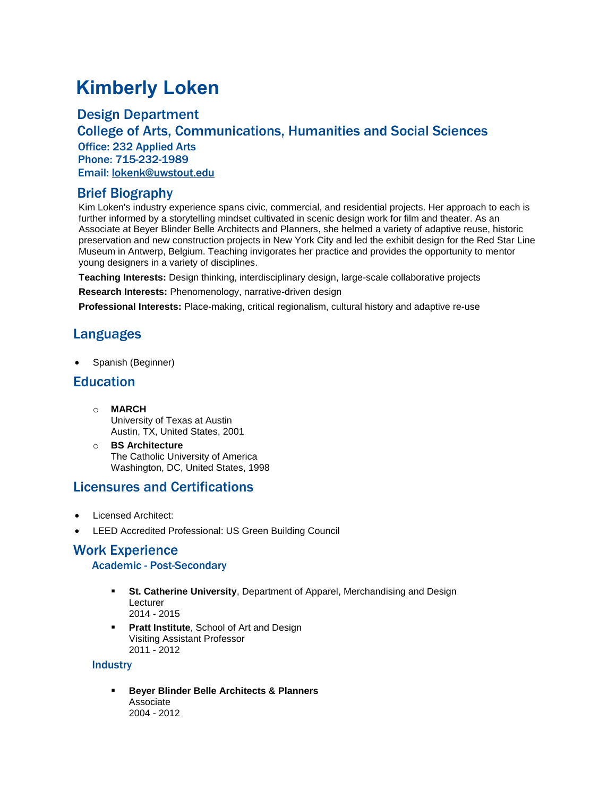# **Kimberly Loken**

### Design Department

College of Arts, Communications, Humanities and Social Sciences Office: 232 Applied Arts Phone: 715-232-1989 Email: [lokenk@uwstout.edu](mailto:lokenk@uwstout.edu)

### Brief Biography

Kim Loken's industry experience spans civic, commercial, and residential projects. Her approach to each is further informed by a storytelling mindset cultivated in scenic design work for film and theater. As an Associate at Beyer Blinder Belle Architects and Planners, she helmed a variety of adaptive reuse, historic preservation and new construction projects in New York City and led the exhibit design for the Red Star Line Museum in Antwerp, Belgium. Teaching invigorates her practice and provides the opportunity to mentor young designers in a variety of disciplines.

**Teaching Interests:** Design thinking, interdisciplinary design, large-scale collaborative projects

**Research Interests:** Phenomenology, narrative-driven design

**Professional Interests:** Place-making, critical regionalism, cultural history and adaptive re-use

# Languages

• Spanish (Beginner)

### **Education**

- o **MARCH** University of Texas at Austin Austin, TX, United States, 2001
- o **BS Architecture** The Catholic University of America Washington, DC, United States, 1998

## Licensures and Certifications

- Licensed Architect:
- LEED Accredited Professional: US Green Building Council

## Work Experience

#### Academic - Post-Secondary

- **E** St. Catherine University, Department of Apparel, Merchandising and Design Lecturer 2014 - 2015
- Pratt Institute, School of Art and Design Visiting Assistant Professor 2011 - 2012

#### **Industry**

▪ **Beyer Blinder Belle Architects & Planners** Associate 2004 - 2012